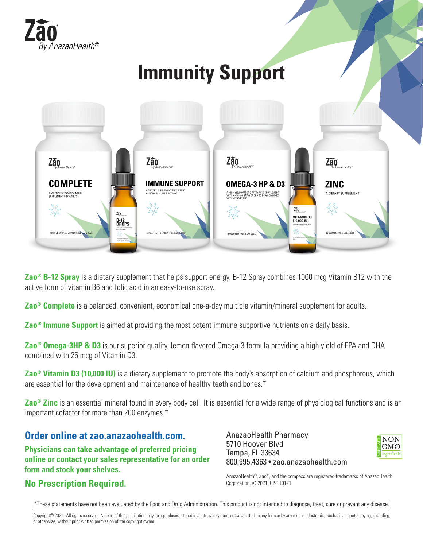

## **Immunity Support**



**Zao® B-12 Spray** is a dietary supplement that helps support energy. B-12 Spray combines 1000 mcg Vitamin B12 with the active form of vitamin B6 and folic acid in an easy-to-use spray.

**Zao® Complete** is a balanced, convenient, economical one-a-day multiple vitamin/mineral supplement for adults.

**Zao® Immune Support** is aimed at providing the most potent immune supportive nutrients on a daily basis.

**Zao® Omega-3HP & D3** is our superior-quality, lemon-flavored Omega-3 formula providing a high yield of EPA and DHA combined with 25 mcg of Vitamin D3.

**Zao® Vitamin D3 (10,000 IU)** is a dietary supplement to promote the body's absorption of calcium and phosphorous, which are essential for the development and maintenance of healthy teeth and bones.\*

**Zao® Zinc** is an essential mineral found in every body cell. It is essential for a wide range of physiological functions and is an important cofactor for more than 200 enzymes.\*

### **Order online at zao.anazaohealth.com.**

**Physicians can take advantage of preferred pricing online or contact your sales representative for an order form and stock your shelves.**

### **No Prescription Required.**

AnazaoHealth Pharmacy 5710 Hoover Blvd Tampa, FL 33634 800.995.4363 • zao.anazaohealth.com



AnazaoHealth®, Zao®, and the compass are registered trademarks of AnazaoHealth Corporation, © 2021. C2-110121

\*These statements have not been evaluated by the Food and Drug Administration. This product is not intended to diagnose, treat, cure or prevent any disease.

Copyright© 2021. All rights reserved. No part of this publication may be reproduced, stored in a retrieval system, or transmitted, in any form or by any means, electronic, mechanical, photocopying, recording, or otherwise, without prior written permission of the copyright owner.